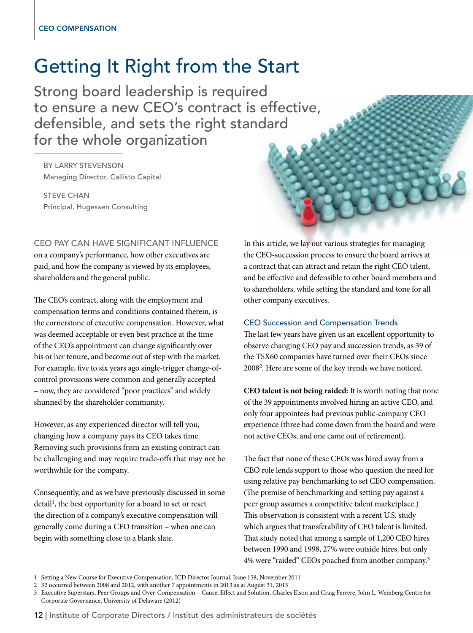# Getting It Right from the Start

Strong board leadership is required to ensure a new CEO's contract is effective, defensible, and sets the right standard for the whole organization

By Larry Stevenson Managing Director, Callisto Capital

**STEVE CHAN** Principal, Hugessen Consulting

# CEO pay can have significant influence

on a company's performance, how other executives are paid, and how the company is viewed by its employees, shareholders and the general public.

The CEO's contract, along with the employment and compensation terms and conditions contained therein, is the cornerstone of executive compensation. However, what was deemed acceptable or even best practice at the time of the CEO's appointment can change significantly over his or her tenure, and become out of step with the market. For example, five to six years ago single-trigger change-ofcontrol provisions were common and generally accepted – now, they are considered "poor practices" and widely shunned by the shareholder community.

However, as any experienced director will tell you, changing how a company pays its CEO takes time. Removing such provisions from an existing contract can be challenging and may require trade-offs that may not be worthwhile for the company.

Consequently, and as we have previously discussed in some detail<sup>1</sup>, the best opportunity for a board to set or reset the direction of a company's executive compensation will generally come during a CEO transition – when one can begin with something close to a blank slate.

In this article, we lay out various strategies for managing the CEO-succession process to ensure the board arrives at a contract that can attract and retain the right CEO talent, and be effective and defensible to other board members and to shareholders, while setting the standard and tone for all other company executives.

## CEO Succession and Compensation Trends

The last few years have given us an excellent opportunity to observe changing CEO pay and succession trends, as 39 of the TSX60 companies have turned over their CEOs since 2008<sup>2</sup>. Here are some of the key trends we have noticed.

**CEO talent is not being raided:** It is worth noting that none of the 39 appointments involved hiring an active CEO, and only four appointees had previous public-company CEO experience (three had come down from the board and were not active CEOs, and one came out of retirement).

The fact that none of these CEOs was hired away from a CEO role lends support to those who question the need for using relative pay benchmarking to set CEO compensation. (The premise of benchmarking and setting pay against a peer group assumes a competitive talent marketplace.) This observation is consistent with a recent U.S. study which argues that transferability of CEO talent is limited. That study noted that among a sample of 1,200 CEO hires between 1990 and 1998, 27% were outside hires, but only 4% were "raided" CEOs poached from another company.<sup>3</sup>

<sup>1</sup> Setting a New Course for Executive Compensation, ICD Director Journal, Issue 158, November 2011

<sup>2</sup> 32 occurred between 2008 and 2012, with another 7 appointments in 2013 as at August 31, 2013

<sup>3</sup> Executive Superstars, Peer Groups and Over-Compensation – Cause, Effect and Solution, Charles Elson and Craig Ferrere, John L. Weinberg Centre for Corporate Governance, University of Delaware (2012)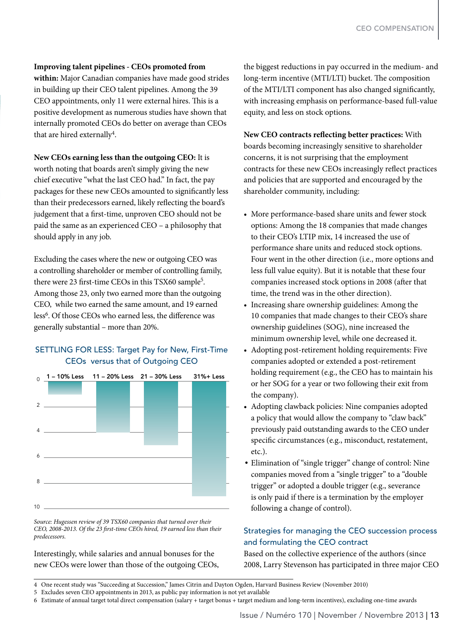#### **Improving talent pipelines - CEOs promoted from**

**within:** Major Canadian companies have made good strides in building up their CEO talent pipelines. Among the 39 CEO appointments, only 11 were external hires. This is a positive development as numerous studies have shown that internally promoted CEOs do better on average than CEOs that are hired externally<sup>4</sup>.

#### **New CEOs earning less than the outgoing CEO:** It is

worth noting that boards aren't simply giving the new chief executive "what the last CEO had." In fact, the pay packages for these new CEOs amounted to significantly less than their predecessors earned, likely reflecting the board's judgement that a first-time, unproven CEO should not be paid the same as an experienced CEO – a philosophy that should apply in any job.

Excluding the cases where the new or outgoing CEO was a controlling shareholder or member of controlling family, there were 23 first-time CEOs in this TSX60 sample<sup>5</sup>. Among those 23, only two earned more than the outgoing CEO, while two earned the same amount, and 19 earned less<sup>6</sup>. Of those CEOs who earned less, the difference was generally substantial – more than 20%.

## SETTLING FOR LESS: Target Pay for New, First-Time CEOs versus that of Outgoing CEO



*Source: Hugessen review of 39 TSX60 companies that turned over their CEO, 2008-2013. Of the 23 first-time CEOs hired, 19 earned less than their predecessors.*

Interestingly, while salaries and annual bonuses for the new CEOs were lower than those of the outgoing CEOs,

the biggest reductions in pay occurred in the medium- and long-term incentive (MTI/LTI) bucket. The composition of the MTI/LTI component has also changed significantly, with increasing emphasis on performance-based full-value equity, and less on stock options.

**New CEO contracts reflecting better practices:** With boards becoming increasingly sensitive to shareholder concerns, it is not surprising that the employment contracts for these new CEOs increasingly reflect practices and policies that are supported and encouraged by the shareholder community, including:

- More performance-based share units and fewer stock options: Among the 18 companies that made changes to their CEO's LTIP mix, 14 increased the use of performance share units and reduced stock options. Four went in the other direction (i.e., more options and less full value equity). But it is notable that these four companies increased stock options in 2008 (after that time, the trend was in the other direction).
- Increasing share ownership guidelines: Among the 10 companies that made changes to their CEO's share ownership guidelines (SOG), nine increased the minimum ownership level, while one decreased it.
- Adopting post-retirement holding requirements: Five companies adopted or extended a post-retirement holding requirement (e.g., the CEO has to maintain his or her SOG for a year or two following their exit from the company).
- Adopting clawback policies: Nine companies adopted a policy that would allow the company to "claw back" previously paid outstanding awards to the CEO under specific circumstances (e.g., misconduct, restatement, etc.).
- Elimination of "single trigger" change of control: Nine companies moved from a "single trigger" to a "double trigger" or adopted a double trigger (e.g., severance is only paid if there is a termination by the employer following a change of control).

# Strategies for managing the CEO succession process and formulating the CEO contract

Based on the collective experience of the authors (since 2008, Larry Stevenson has participated in three major CEO

<sup>4</sup> One recent study was "Succeeding at Succession," James Citrin and Dayton Ogden, Harvard Business Review (November 2010)

<sup>5</sup> Excludes seven CEO appointments in 2013, as public pay information is not yet available

<sup>6</sup> Estimate of annual target total direct compensation (salary + target bonus + target medium and long-term incentives), excluding one-time awards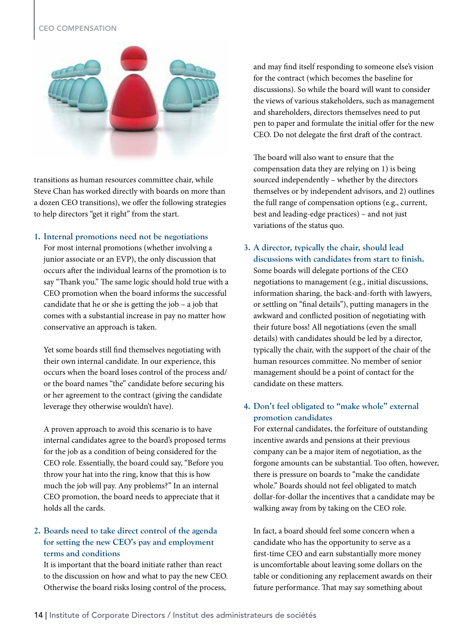## CEO Compensation



transitions as human resources committee chair, while Steve Chan has worked directly with boards on more than a dozen CEO transitions), we offer the following strategies to help directors "get it right" from the start.

### **1. Internal promotions need not be negotiations**

For most internal promotions (whether involving a junior associate or an EVP), the only discussion that occurs after the individual learns of the promotion is to say "Thank you." The same logic should hold true with a CEO promotion when the board informs the successful candidate that he or she is getting the job – a job that comes with a substantial increase in pay no matter how conservative an approach is taken.

Yet some boards still find themselves negotiating with their own internal candidate. In our experience, this occurs when the board loses control of the process and/ or the board names "the" candidate before securing his or her agreement to the contract (giving the candidate leverage they otherwise wouldn't have).

A proven approach to avoid this scenario is to have internal candidates agree to the board's proposed terms for the job as a condition of being considered for the CEO role. Essentially, the board could say, "Before you throw your hat into the ring, know that this is how much the job will pay. Any problems?" In an internal CEO promotion, the board needs to appreciate that it holds all the cards.

# **2. Boards need to take direct control of the agenda for setting the new CEO's pay and employment terms and conditions**

It is important that the board initiate rather than react to the discussion on how and what to pay the new CEO. Otherwise the board risks losing control of the process,

and may find itself responding to someone else's vision for the contract (which becomes the baseline for discussions). So while the board will want to consider the views of various stakeholders, such as management and shareholders, directors themselves need to put pen to paper and formulate the initial offer for the new CEO. Do not delegate the first draft of the contract.

The board will also want to ensure that the compensation data they are relying on 1) is being sourced independently – whether by the directors themselves or by independent advisors, and 2) outlines the full range of compensation options (e.g., current, best and leading-edge practices) – and not just variations of the status quo.

**3. A director, typically the chair, should lead discussions with candidates from start to finish.**  Some boards will delegate portions of the CEO negotiations to management (e.g., initial discussions, information sharing, the back-and-forth with lawyers, or settling on "final details"), putting managers in the awkward and conflicted position of negotiating with their future boss! All negotiations (even the small details) with candidates should be led by a director, typically the chair, with the support of the chair of the human resources committee. No member of senior management should be a point of contact for the candidate on these matters.

# **4. Don't feel obligated to "make whole" external promotion candidates**

For external candidates, the forfeiture of outstanding incentive awards and pensions at their previous company can be a major item of negotiation, as the forgone amounts can be substantial. Too often, however, there is pressure on boards to "make the candidate whole." Boards should not feel obligated to match dollar-for-dollar the incentives that a candidate may be walking away from by taking on the CEO role.

In fact, a board should feel some concern when a candidate who has the opportunity to serve as a first-time CEO and earn substantially more money is uncomfortable about leaving some dollars on the table or conditioning any replacement awards on their future performance. That may say something about